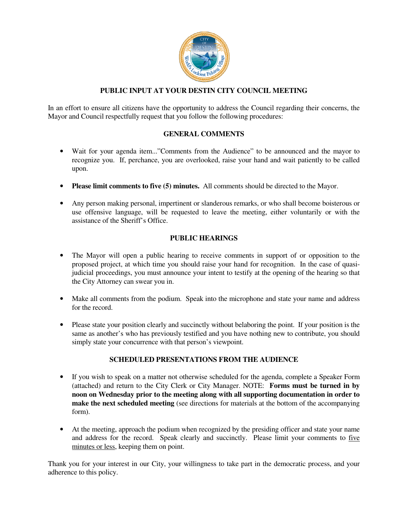

## **PUBLIC INPUT AT YOUR DESTIN CITY COUNCIL MEETING**

In an effort to ensure all citizens have the opportunity to address the Council regarding their concerns, the Mayor and Council respectfully request that you follow the following procedures:

#### **GENERAL COMMENTS**

- Wait for your agenda item..."Comments from the Audience" to be announced and the mayor to recognize you. If, perchance, you are overlooked, raise your hand and wait patiently to be called upon.
- **Please limit comments to five (5) minutes.** All comments should be directed to the Mayor.
- Any person making personal, impertinent or slanderous remarks, or who shall become boisterous or use offensive language, will be requested to leave the meeting, either voluntarily or with the assistance of the Sheriff's Office.

#### **PUBLIC HEARINGS**

- The Mayor will open a public hearing to receive comments in support of or opposition to the proposed project, at which time you should raise your hand for recognition. In the case of quasijudicial proceedings, you must announce your intent to testify at the opening of the hearing so that the City Attorney can swear you in.
- Make all comments from the podium. Speak into the microphone and state your name and address for the record.
- Please state your position clearly and succinctly without belaboring the point. If your position is the same as another's who has previously testified and you have nothing new to contribute, you should simply state your concurrence with that person's viewpoint.

### **SCHEDULED PRESENTATIONS FROM THE AUDIENCE**

- If you wish to speak on a matter not otherwise scheduled for the agenda, complete a Speaker Form (attached) and return to the City Clerk or City Manager. NOTE: **Forms must be turned in by noon on Wednesday prior to the meeting along with all supporting documentation in order to make the next scheduled meeting** (see directions for materials at the bottom of the accompanying form).
- At the meeting, approach the podium when recognized by the presiding officer and state your name and address for the record. Speak clearly and succinctly. Please limit your comments to five minutes or less, keeping them on point.

Thank you for your interest in our City, your willingness to take part in the democratic process, and your adherence to this policy.